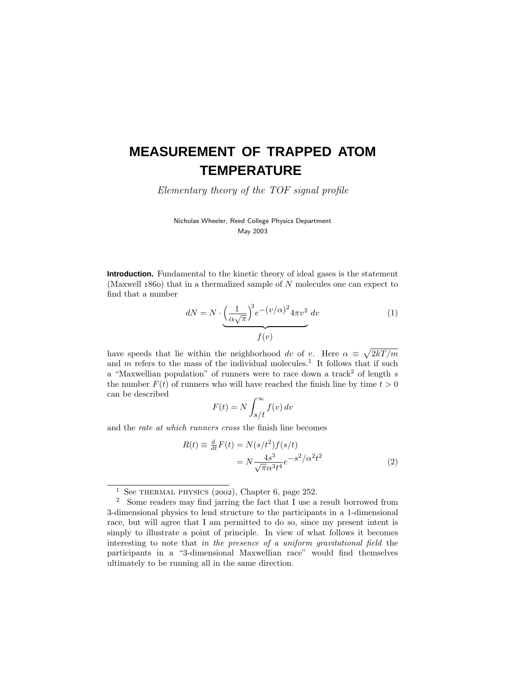# **MEASUREMENT OF TRAPPED ATOM TEMPERATURE**

Elementary theory of the TOF signal profile

Nicholas Wheeler, Reed College Physics Department May 2003

**Introduction.** Fundamental to the kinetic theory of ideal gases is the statement (Maxwell 1860) that in a thermalized sample of *N* molecules one can expect to find that a number

$$
dN = N \cdot \underbrace{\left(\frac{1}{\alpha\sqrt{\pi}}\right)^3 e^{-(v/\alpha)^2} 4\pi v^2}_{f(v)}
$$
(1)

have speeds that lie within the neighborhood dv of v. Here  $\alpha \equiv \sqrt{2kT/m}$ and  $m$  refers to the mass of the individual molecules.<sup>1</sup> It follows that if such a "Maxwellian population" of runners were to race down a track<sup>2</sup> of length *s* the number  $F(t)$  of runners who will have reached the finish line by time  $t > 0$ can be described

$$
F(t) = N \int_{s/t}^{\infty} f(v) dv
$$

and the rate at which runners cross the finish line becomes

$$
R(t) \equiv \frac{d}{dt}F(t) = N(s/t^2)f(s/t)
$$
  
=  $N \frac{4s^3}{\sqrt{\pi} \alpha^3 t^4} e^{-s^2/\alpha^2 t^2}$  (2)

<sup>&</sup>lt;sup>1</sup> See THERMAL PHYSICS (2002), Chapter 6, page 252.

<sup>2</sup> Some readers may find jarring the fact that I use a result borrowed from 3-dimensional physics to lend structure to the participants in a 1-dimensional race, but will agree that I am permitted to do so, since my present intent is simply to illustrate a point of principle. In view of what follows it becomes interesting to note that in the presence of a uniform gravitational field the participants in a "3-dimensional Maxwellian race" would find themselves ultimately to be running all in the same direction.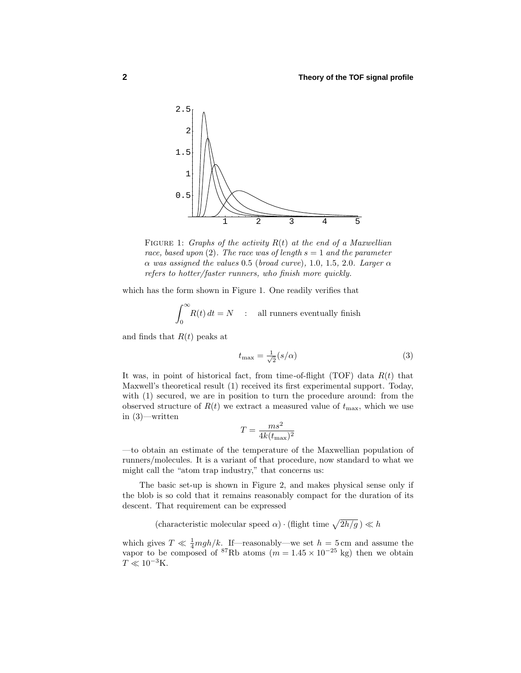

FIGURE 1: Graphs of the activity  $R(t)$  at the end of a Maxwellian race, based upon (2). The race was of length  $s = 1$  and the parameter *α* was assigned the values 0*.*5 (broad curve), 1*.*0, 1*.*5, 2*.*0. Larger *α* refers to hotter/faster runners, who finish more quickly.

which has the form shown in Figure 1. One readily verifies that

$$
\int_0^\infty R(t) dt = N \quad : \quad \text{all runners eventually finish}
$$

and finds that *R*(*t*) peaks at

$$
t_{\max} = \frac{1}{\sqrt{2}} (s/\alpha) \tag{3}
$$

It was, in point of historical fact, from time-of-flight (TOF) data *R*(*t*) that Maxwell's theoretical result (1) received its first experimental support. Today, with  $(1)$  secured, we are in position to turn the procedure around: from the observed structure of  $R(t)$  we extract a measured value of  $t_{\text{max}}$ , which we use in (3)—written

$$
T = \frac{ms^2}{4k(t_{\text{max}})^2}
$$

—to obtain an estimate of the temperature of the Maxwellian population of runners/molecules. It is a variant of that procedure, now standard to what we might call the "atom trap industry," that concerns us:

The basic set-up is shown in Figure 2, and makes physical sense only if the blob is so cold that it remains reasonably compact for the duration of its descent. That requirement can be expressed

(characteristic molecular speed  $\alpha$ ) · (flight time  $\sqrt{2h/g}$ )  $\ll h$ 

which gives  $T \ll \frac{1}{4} mgh/k$ . If—reasonably—we set  $h = 5 \text{ cm}$  and assume the vapor to be composed of <sup>87</sup>Rb atoms ( $m = 1.45 \times 10^{-25}$  kg) then we obtain  $T \ll 10^{-3}$ K.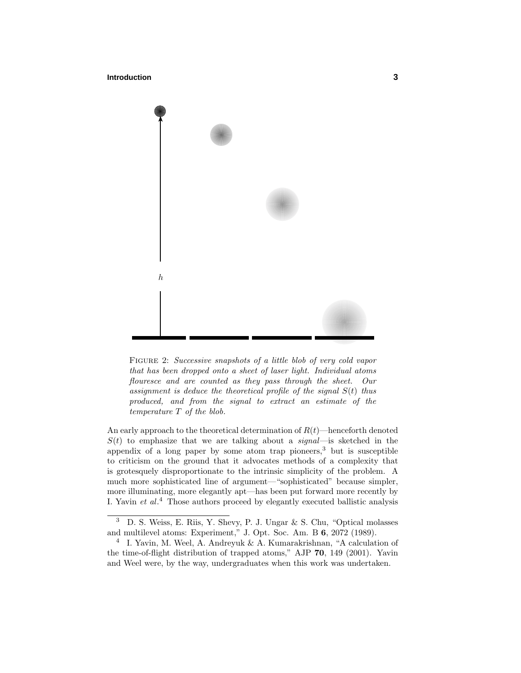#### **Introduction 3**



FIGURE 2: Successive snapshots of a little blob of very cold vapor that has been dropped onto a sheet of laser light. Individual atoms flouresce and are counted as they pass through the sheet. Our assignment is deduce the theoretical profile of the signal  $S(t)$  thus produced, and from the signal to extract an estimate of the temperature *T* of the blob.

An early approach to the theoretical determination of  $R(t)$ —henceforth denoted  $S(t)$  to emphasize that we are talking about a *signal*—is sketched in the appendix of a long paper by some atom trap pioneers, $3$  but is susceptible to criticism on the ground that it advocates methods of a complexity that is grotesquely disproportionate to the intrinsic simplicity of the problem. A much more sophisticated line of argument—"sophisticated" because simpler, more illuminating, more elegantly apt—has been put forward more recently by I. Yavin  $et\ al.^4$  Those authors proceed by elegantly executed ballistic analysis

<sup>3</sup> D. S. Weiss, E. Riis, Y. Shevy, P. J. Ungar & S. Chu, "Optical molasses and multilevel atoms: Experiment," J. Opt. Soc. Am. B **6**, 2072 (1989).

<sup>4</sup> I. Yavin, M. Weel, A. Andreyuk & A. Kumarakrishnan, "A calculation of the time-of-flight distribution of trapped atoms," AJP **70**, 149 (2001). Yavin and Weel were, by the way, undergraduates when this work was undertaken.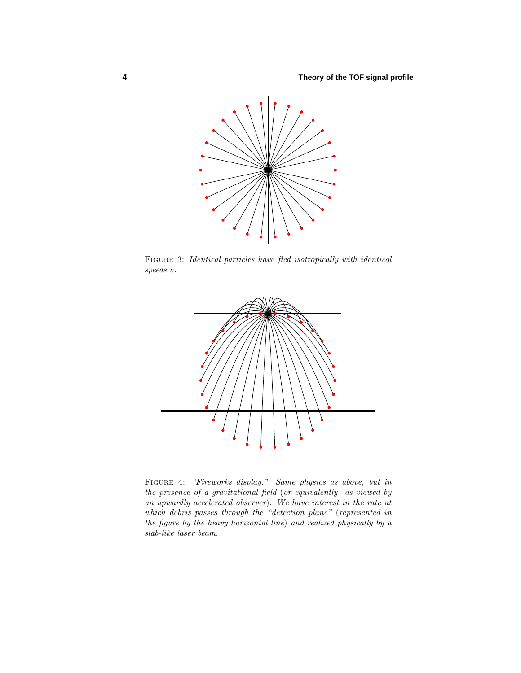

Figure 3: Identical particles have fled isotropically with identical speeds *v*.



Figure 4: "Fireworks display." Same physics as above, but in the presence of a gravitational field (or equivalently: as viewed by an upwardly accelerated observer). We have interest in the rate at which debris passes through the "detection plane" (represented in the figure by the heavy horizontal line) and realized physically by a slab-like laser beam.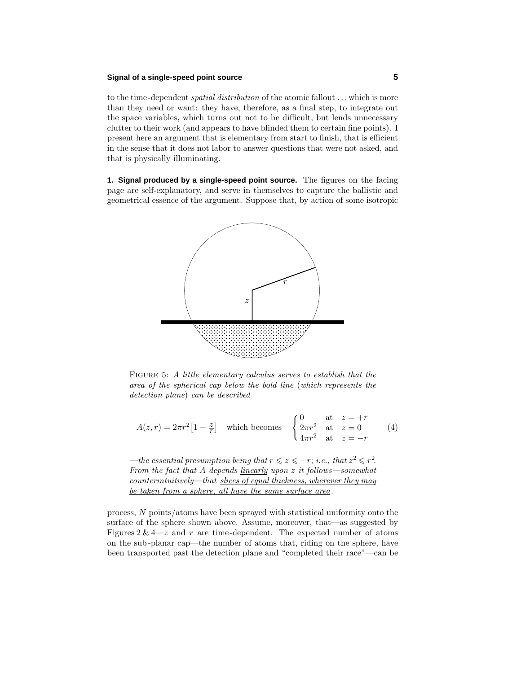## **Signal of a single-speed point source 5**

to the time-dependent spatial distribution of the atomic fallout *...* which is more than they need or want: they have, therefore, as a final step, to integrate out the space variables, which turns out not to be difficult, but lends unnecessary clutter to their work (and appears to have blinded them to certain fine points). I present here an argument that is elementary from start to finish, that is efficient in the sense that it does not labor to answer questions that were not asked, and that is physically illuminating.

**1. Signal produced by a single-speed point source.** The figures on the facing page are self-explanatory, and serve in themselves to capture the ballistic and geometrical essence of the argument. Suppose that, by action of some isotropic



FIGURE 5: A little elementary calculus serves to establish that the area of the spherical cap below the bold line (which represents the detection plane) can be described

$$
A(z,r) = 2\pi r^2 \left[1 - \frac{z}{r}\right] \quad \text{which becomes} \quad \begin{cases} 0 & \text{at } z = +r \\ 2\pi r^2 & \text{at } z = 0 \\ 4\pi r^2 & \text{at } z = -r \end{cases} \tag{4}
$$

—the essential presumption being that  $r \leq z \leq -r$ ; i.e., that  $z^2 \leq r^2$ . From the fact that *A* depends linearly upon *z* it follows—somewhat counterintuitively—that slices of equal thickness, wherever they may be taken from a sphere, all have the same surface area.

process, *N* points/atoms have been sprayed with statistical uniformity onto the surface of the sphere shown above. Assume, moreover, that—as suggested by Figures  $2 \& 4-z$  and  $r$  are time-dependent. The expected number of atoms on the sub-planar cap—the number of atoms that, riding on the sphere, have been transported past the detection plane and "completed their race"—can be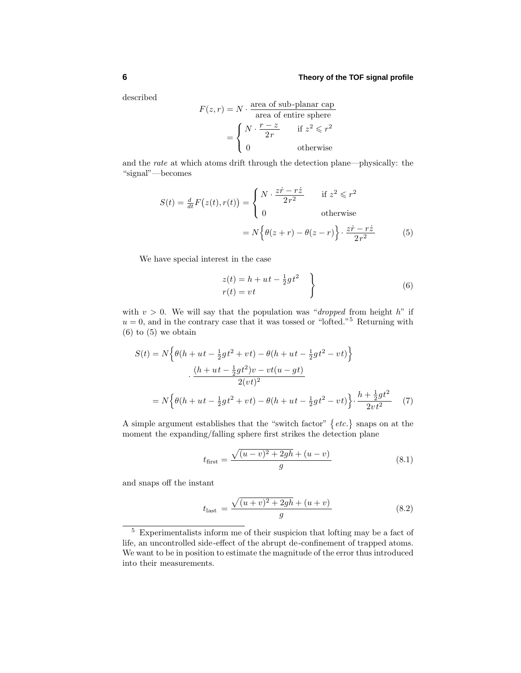## **6 Theory of the TOF signal profile**

described

$$
F(z,r) = N \cdot \frac{\text{area of sub-planar cap}}{\text{area of entire sphere}}
$$

$$
= \begin{cases} N \cdot \frac{r-z}{2r} & \text{if } z^2 \leq r^2\\ 0 & \text{otherwise} \end{cases}
$$

and the rate at which atoms drift through the detection plane—physically: the "signal"—becomes

$$
S(t) = \frac{d}{dt}F(z(t), r(t)) = \begin{cases} N \cdot \frac{z\dot{r} - r\dot{z}}{2r^2} & \text{if } z^2 \leq r^2\\ 0 & \text{otherwise} \end{cases}
$$

$$
= N \Big\{ \theta(z+r) - \theta(z-r) \Big\} \cdot \frac{z\dot{r} - r\dot{z}}{2r^2}
$$
(5)

We have special interest in the case

$$
z(t) = h + ut - \frac{1}{2}gt^2
$$
  
\n
$$
r(t) = vt
$$
\n(6)

with  $v > 0$ . We will say that the population was "*dropped* from height *h*" if  $u = 0$ , and in the contrary case that it was tossed or "lofted."<sup>5</sup> Returning with  $(6)$  to  $(5)$  we obtain

$$
S(t) = N \left\{ \theta(h + ut - \frac{1}{2}gt^2 + vt) - \theta(h + ut - \frac{1}{2}gt^2 - vt) \right\}
$$

$$
\cdot \frac{(h + ut - \frac{1}{2}gt^2)v - vt(u - gt)}{2(vt)^2}
$$

$$
= N \left\{ \theta(h + ut - \frac{1}{2}gt^2 + vt) - \theta(h + ut - \frac{1}{2}gt^2 - vt) \right\} \cdot \frac{h + \frac{1}{2}gt^2}{2vt^2} \tag{7}
$$

A simple argument establishes that the "switch factor"  $\{etc.\}$  snaps on at the moment the expanding/falling sphere first strikes the detection plane

$$
t_{\text{first}} = \frac{\sqrt{(u-v)^2 + 2gh} + (u-v)}{g} \tag{8.1}
$$

and snaps off the instant

$$
t_{\text{last}} = \frac{\sqrt{(u+v)^2 + 2gh} + (u+v)}{g} \tag{8.2}
$$

<sup>5</sup> Experimentalists inform me of their suspicion that lofting may be a fact of life, an uncontrolled side-effect of the abrupt de-confinement of trapped atoms. We want to be in position to estimate the magnitude of the error thus introduced into their measurements.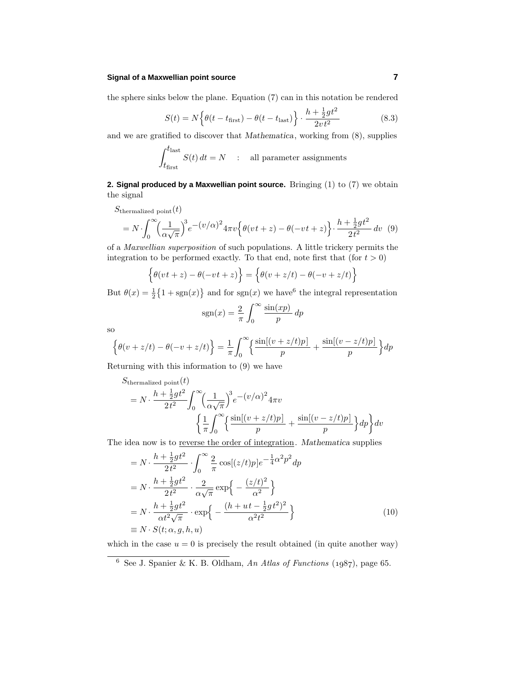## **Signal of a Maxwellian point source 7**

the sphere sinks below the plane. Equation (7) can in this notation be rendered

$$
S(t) = N\left\{\theta(t - t_{\text{first}}) - \theta(t - t_{\text{last}})\right\} \cdot \frac{h + \frac{1}{2}gt^2}{2vt^2}
$$
\n(8.3)

and we are gratified to discover that *Mathematica*, working from (8), supplies

$$
\int_{t_\mathrm{first}}^{t_\mathrm{last}} S(t) \, dt = N \quad : \quad \text{all parameter assignments}
$$

**2. Signal produced by a Maxwellian point source.** Bringing (1) to (7) we obtain the signal

$$
S_{\text{thermalized point}}(t)
$$
  
=  $N \cdot \int_0^\infty \left(\frac{1}{\alpha \sqrt{\pi}}\right)^3 e^{-(v/\alpha)^2} 4\pi v \left\{\theta(vt+z) - \theta(-vt+z)\right\} \cdot \frac{h + \frac{1}{2}gt^2}{2t^2} dv$  (9)

of a Maxwellian superposition of such populations. A little trickery permits the integration to be performed exactly. To that end, note first that (for  $t > 0$ )

$$
\left\{\theta(vt+z) - \theta(-vt+z)\right\} = \left\{\theta(v+z/t) - \theta(-v+z/t)\right\}
$$

But  $\theta(x) = \frac{1}{2} \{1 + \text{sgn}(x)\}$  and for  $\text{sgn}(x)$  we have<sup>6</sup> the integral representation

$$
sgn(x) = \frac{2}{\pi} \int_0^\infty \frac{\sin(xp)}{p} \, dp
$$

so

$$
\left\{\theta(v+z/t) - \theta(-v+z/t)\right\} = \frac{1}{\pi} \int_0^\infty \left\{\frac{\sin[(v+z/t)p]}{p} + \frac{\sin[(v-z/t)p]}{p}\right\} dp
$$

Returning with this information to (9) we have

$$
S_{\text{thermalized point}}(t)
$$
\n
$$
= N \cdot \frac{h + \frac{1}{2}gt^2}{2t^2} \int_0^\infty \left(\frac{1}{\alpha\sqrt{\pi}}\right)^3 e^{-(v/\alpha)^2} 4\pi v
$$
\n
$$
\left\{\frac{1}{\pi} \int_0^\infty \left\{\frac{\sin[(v+z/t)p]}{p} + \frac{\sin[(v-z/t)p]}{p}\right\} dp\right\} dv
$$

The idea now is to reverse the order of integration. *Mathematica* supplies

$$
= N \cdot \frac{h + \frac{1}{2}gt^2}{2t^2} \cdot \int_0^\infty \frac{2}{\pi} \cos[(z/t)p]e^{-\frac{1}{4}\alpha^2 p^2} dp
$$
  
\n
$$
= N \cdot \frac{h + \frac{1}{2}gt^2}{2t^2} \cdot \frac{2}{\alpha\sqrt{\pi}} \exp\left\{-\frac{(z/t)^2}{\alpha^2}\right\}
$$
  
\n
$$
= N \cdot \frac{h + \frac{1}{2}gt^2}{\alpha t^2 \sqrt{\pi}} \cdot \exp\left\{-\frac{(h + ut - \frac{1}{2}gt^2)^2}{\alpha^2 t^2}\right\}
$$
  
\n
$$
\equiv N \cdot S(t; \alpha, g, h, u)
$$
  
\n(10)

which in the case  $u = 0$  is precisely the result obtained (in quite another way)

<sup>&</sup>lt;sup>6</sup> See J. Spanier & K. B. Oldham, An Atlas of Functions  $(1.087)$ , page 65.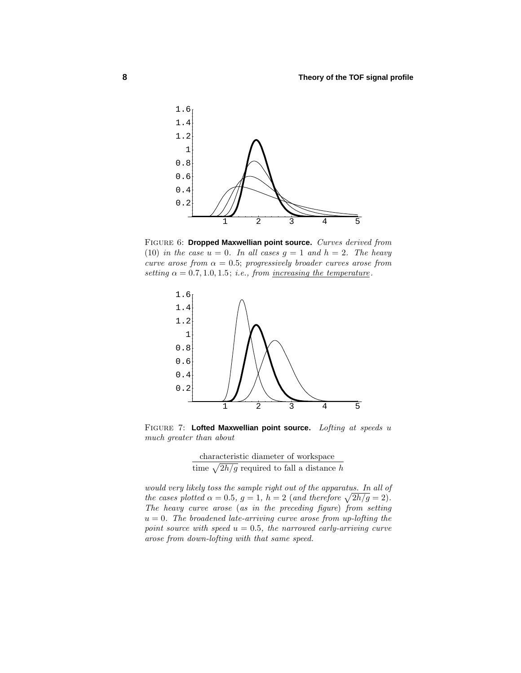

Figure 6: **Dropped Maxwellian point source.** Curves derived from (10) in the case  $u = 0$ . In all cases  $g = 1$  and  $h = 2$ . The heavy curve arose from  $\alpha = 0.5$ ; progressively broader curves arose from setting  $\alpha = 0.7, 1.0, 1.5$ ; i.e., from <u>increasing the temperature</u>.



Figure 7: **Lofted Maxwellian point source.** Lofting at speeds *u* much greater than about

characteristic diameter of workspace time  $\sqrt{2h/g}$  required to fall a distance *h* 

would very likely toss the sample right out of the apparatus. In all of the cases plotted  $\alpha = 0.5$ ,  $g = 1$ ,  $h = 2$  (and therefore  $\sqrt{2h/g} = 2$ ). The heavy curve arose (as in the preceding figure) from setting  $u = 0$ . The broadened late-arriving curve arose from up-lofting the point source with speed  $u = 0.5$ , the narrowed early-arriving curve arose from down-lofting with that same speed.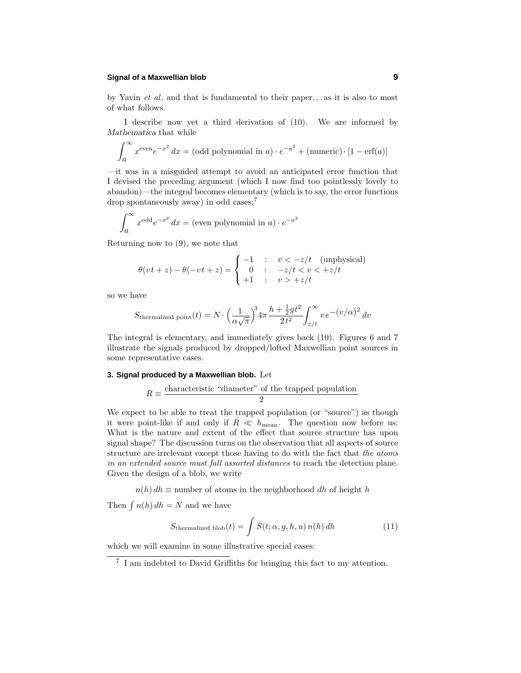#### **Signal of a Maxwellian blob 9**

by Yavin et al, and that is fundamental to their paper*...* as it is also to most of what follows.

I describe now yet a third derivation of (10). We are informed by *Mathematica* that while

$$
\int_{a}^{\infty} x^{\text{even}} e^{-x^2} dx = (\text{odd polynomial in } a) \cdot e^{-a^2} + (\text{numeric}) \cdot [1 - \text{erf}(a)]
$$

—it was in a misguided attempt to avoid an anticipated error function that I devised the preceding argument (which I now find too pointlessly lovely to abandon)—the integral becomes elementary (which is to say, the error functions drop spontaneously away) in odd cases:<sup>7</sup>

$$
\int_{a}^{\infty} x^{\text{odd}} e^{-x^2} dx = \text{(even polynomial in } a) \cdot e^{-a^2}
$$

Returning now to (9), we note that

$$
\theta(vt+z) - \theta(-vt+z) = \begin{cases}\n-1 & : v < -z/t \quad \text{(unphysical)} \\
0 & : -z/t < v < +z/t \\
+1 & : v > +z/t\n\end{cases}
$$

so we have

$$
S_{\text{thermalized point}}(t) = N \cdot \left(\frac{1}{\alpha \sqrt{\pi}}\right)^3 4\pi \frac{h + \frac{1}{2}gt^2}{2t^2} \int_{z/t}^{\infty} v e^{-(v/\alpha)^2} dv
$$

The integral is elementary, and immediately gives back (10). Figures 6 and 7 illustrate the signals produced by dropped/lofted Maxwellian point sources in some representative cases.

#### **3. Signal produced by a Maxwellian blob.** Let

$$
R\equiv\frac{\mbox{characteristic "diameter" of the trapped population}}{2}
$$

We expect to be able to treat the trapped population (or "source") as though it were point-like if and only if  $R \ll h_{\text{mean}}$ . The question now before us: What is the nature and extent of the effect that source structure has upon signal shape? The discussion turns on the observation that all aspects of source structure are irrelevant except those having to do with the fact that the atoms in an extended source must fall assorted distances to reach the detection plane. Given the design of a blob, we write

 $n(h) dh \equiv$  number of atoms in the neighborhood *dh* of height *h* 

Then  $\int n(h) dh = N$  and we have

$$
S_{\text{thermalized blob}}(t) = \int S(t; \alpha, g, h, u) n(h) dh \tag{11}
$$

which we will examine in some illustrative special cases:

<sup>7</sup> I am indebted to David Griffiths for bringing this fact to my attention.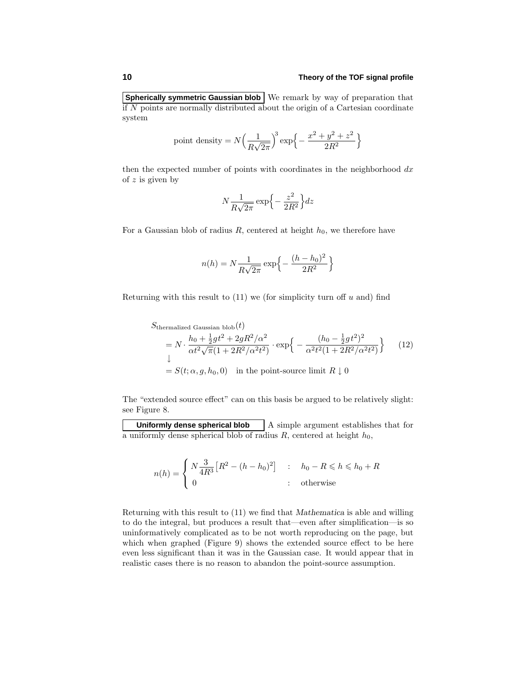#### **10 Theory of the TOF signal profile**

**Spherically symmetric Gaussian blob** We remark by way of preparation that if *N* points are normally distributed about the origin of a Cartesian coordinate system

point density = 
$$
N \left( \frac{1}{R\sqrt{2\pi}} \right)^3 \exp \left\{ -\frac{x^2 + y^2 + z^2}{2R^2} \right\}
$$

then the expected number of points with coordinates in the neighborhood *dx* of *z* is given by

$$
N\frac{1}{R\sqrt{2\pi}}\exp\left\{-\frac{z^2}{2R^2}\right\}dz
$$

For a Gaussian blob of radius *R*, centered at height  $h_0$ , we therefore have

$$
n(h) = N \frac{1}{R\sqrt{2\pi}} \exp \left\{-\frac{(h - h_0)^2}{2R^2}\right\}
$$

Returning with this result to (11) we (for simplicity turn off *u* and) find

$$
S_{\text{thermalized Gaussian blob}}(t)
$$
\n
$$
= N \cdot \frac{h_0 + \frac{1}{2}gt^2 + 2gR^2/\alpha^2}{\alpha t^2 \sqrt{\pi}(1 + 2R^2/\alpha^2 t^2)} \cdot \exp\left\{-\frac{(h_0 - \frac{1}{2}gt^2)^2}{\alpha^2 t^2 (1 + 2R^2/\alpha^2 t^2)}\right\}
$$
\n
$$
= S(t; \alpha, g, h_0, 0) \quad \text{in the point-source limit } R \downarrow 0
$$
\n(12)

The "extended source effect" can on this basis be argued to be relatively slight: see Figure 8.

**Uniformly dense spherical blob**  $\begin{bmatrix} A \text{ simple argument establishes that for} \end{bmatrix}$ a uniformly dense spherical blob of radius  $R$ , centered at height  $h_0$ ,

$$
n(h) = \begin{cases} N\frac{3}{4R^3} \left[R^2 - (h - h_0)^2\right] & \text{: } h_0 - R \leq h \leq h_0 + R \\ 0 & \text{: } \text{otherwise} \end{cases}
$$

Returning with this result to (11) we find that *Mathematica* is able and willing to do the integral, but produces a result that—even after simplification—is so uninformatively complicated as to be not worth reproducing on the page, but which when graphed (Figure 9) shows the extended source effect to be here even less significant than it was in the Gaussian case. It would appear that in realistic cases there is no reason to abandon the point-source assumption.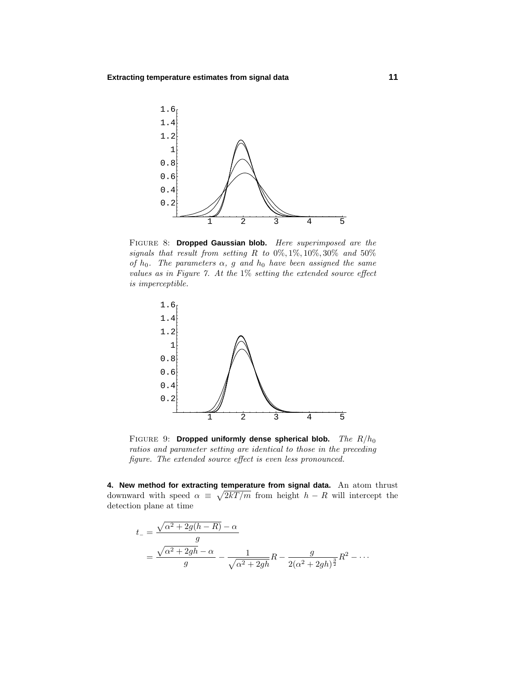

Figure 8: **Dropped Gaussian blob.** Here superimposed are the signals that result from setting  $R$  to  $0\%, 1\%, 10\%, 30\%$  and  $50\%$ of  $h_0$ . The parameters  $\alpha$ ,  $g$  and  $h_0$  have been assigned the same values as in Figure 7. At the 1% setting the extended source effect is imperceptible.



Figure 9: **Dropped uniformly dense spherical blob.** The *R/h*<sup>0</sup> ratios and parameter setting are identical to those in the preceding figure. The extended source effect is even less pronounced.

**4. New method for extracting temperature from signal data.** An atom thrust downward with speed  $\alpha \equiv \sqrt{2kT/m}$  from height  $h - R$  will intercept the detection plane at time

$$
t_{-} = \frac{\sqrt{\alpha^{2} + 2g(h - R)} - \alpha}{g}
$$
  
= 
$$
\frac{\sqrt{\alpha^{2} + 2gh} - \alpha}{g} - \frac{1}{\sqrt{\alpha^{2} + 2gh}}R - \frac{g}{2(\alpha^{2} + 2gh)^{\frac{3}{2}}}R^{2} - \cdots
$$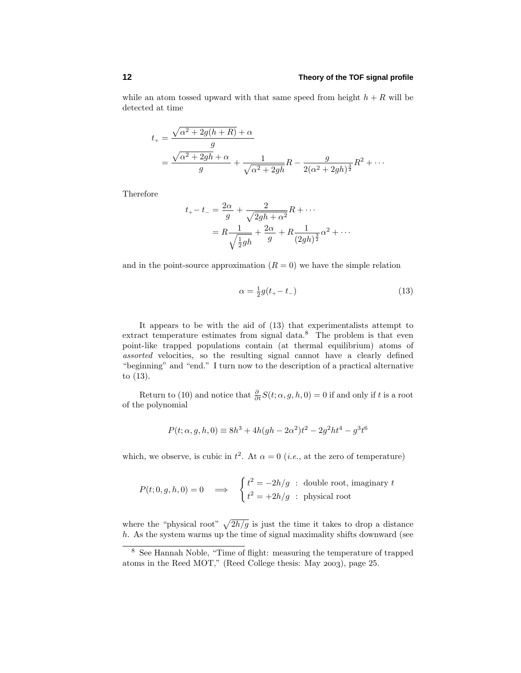while an atom tossed upward with that same speed from height  $h + R$  will be detected at time

$$
t_{+} = \frac{\sqrt{\alpha^{2} + 2g(h+R)} + \alpha}{g}
$$
  
= 
$$
\frac{\sqrt{\alpha^{2} + 2gh} + \alpha}{g} + \frac{1}{\sqrt{\alpha^{2} + 2gh}}R - \frac{g}{2(\alpha^{2} + 2gh)^{\frac{3}{2}}}R^{2} + \cdots
$$

Therefore

$$
t_{+} - t_{-} = \frac{2\alpha}{g} + \frac{2}{\sqrt{2gh + \alpha^{2}}}R + \cdots
$$
  
=  $R\frac{1}{\sqrt{\frac{1}{2}gh}} + \frac{2\alpha}{g} + R\frac{1}{(2gh)^{\frac{3}{2}}}\alpha^{2} + \cdots$ 

and in the point-source approximation  $(R = 0)$  we have the simple relation

$$
\alpha = \frac{1}{2}g(t_{+} - t_{-})
$$
\n(13)

It appears to be with the aid of (13) that experimentalists attempt to extract temperature estimates from signal data.<sup>8</sup> The problem is that even point-like trapped populations contain (at thermal equilibrium) atoms of assorted velocities, so the resulting signal cannot have a clearly defined "beginning" and "end." I turn now to the description of a practical alternative to (13).

Return to (10) and notice that  $\frac{\partial}{\partial t}S(t; \alpha, g, h, 0) = 0$  if and only if *t* is a root of the polynomial

$$
P(t; \alpha, g, h, 0) \equiv 8h^3 + 4h(gh - 2\alpha^2)t^2 - 2g^2ht^4 - g^3t^6
$$

which, we observe, is cubic in  $t^2$ . At  $\alpha = 0$  (*i.e.*, at the zero of temperature)

$$
P(t; 0, g, h, 0) = 0 \implies \begin{cases} t^2 = -2h/g & \text{: double root, imaginary } t \\ t^2 = +2h/g & \text{: physical root} \end{cases}
$$

where the "physical root"  $\sqrt{2h/g}$  is just the time it takes to drop a distance *h*. As the system warms up the time of signal maximality shifts downward (see

<sup>8</sup> See Hannah Noble, "Time of flight: measuring the temperature of trapped atoms in the Reed MOT," (Reed College thesis: May 2003), page 25.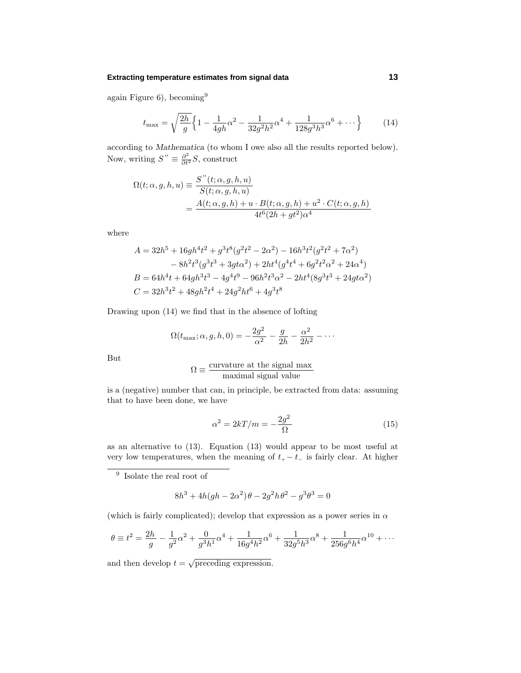#### **Extracting temperature estimates from signal data 13**

again Figure 6), becoming<sup>9</sup>

$$
t_{\max} = \sqrt{\frac{2h}{g}} \left\{ 1 - \frac{1}{4gh} \alpha^2 - \frac{1}{32g^2h^2} \alpha^4 + \frac{1}{128g^3h^3} \alpha^6 + \dots \right\}
$$
 (14)

according to *Mathematica* (to whom I owe also all the results reported below). Now, writing  $S'' \equiv \frac{\partial^2}{\partial t^2} S$ , construct

$$
\Omega(t; \alpha, g, h, u) \equiv \frac{S''(t; \alpha, g, h, u)}{S(t; \alpha, g, h, u)}
$$
  
= 
$$
\frac{A(t; \alpha, g, h) + u \cdot B(t; \alpha, g, h) + u^2 \cdot C(t; \alpha, g, h)}{4t^6 (2h + gt^2)\alpha^4}
$$

where

$$
A = 32h5 + 16gh4t2 + g3t8(g2t2 - 2\alpha2) - 16h3t2(g2t2 + 7\alpha2)- 8h2t3(g3t3 + 3gt3) + 2ht4(g4t4 + 6g2t2\alpha2 + 24\alpha4)B = 64h4t + 64gh3t3 - 4g4t9 - 96h2t3\alpha2 - 2ht4(8g3t3 + 24gt3)C = 32h3t2 + 48gh2t4 + 24g2ht6 + 4g3t8
$$

Drawing upon (14) we find that in the absence of lofting

$$
\Omega(t_{\text{max}};\alpha,g,h,0) = -\frac{2g^2}{\alpha^2} - \frac{g}{2h} - \frac{\alpha^2}{2h^2} - \cdots
$$

But

$$
\Omega \equiv \frac{\text{curvature at the signal max}}{\text{maximal signal value}}
$$

is a (negative) number that can, in principle, be extracted from data: assuming that to have been done, we have

$$
\alpha^2 = 2kT/m = -\frac{2g^2}{\Omega} \tag{15}
$$

as an alternative to (13). Equation (13) would appear to be most useful at very low temperatures, when the meaning of  $t_{+} - t_{-}$  is fairly clear. At higher

<sup>9</sup> Isolate the real root of

$$
8h^3 + 4h(gh - 2\alpha^2)\theta - 2g^2h\theta^2 - g^3\theta^3 = 0
$$

(which is fairly complicated); develop that expression as a power series in  $\alpha$ 

$$
\theta \equiv t^2 = \frac{2h}{g} - \frac{1}{g^2} \alpha^2 + \frac{0}{g^3 h^1} \alpha^4 + \frac{1}{16g^4 h^2} \alpha^6 + \frac{1}{32g^5 h^3} \alpha^8 + \frac{1}{256g^6 h^4} \alpha^{10} + \cdots
$$

and then develop  $t = \sqrt{\text{preceding expression}}$ .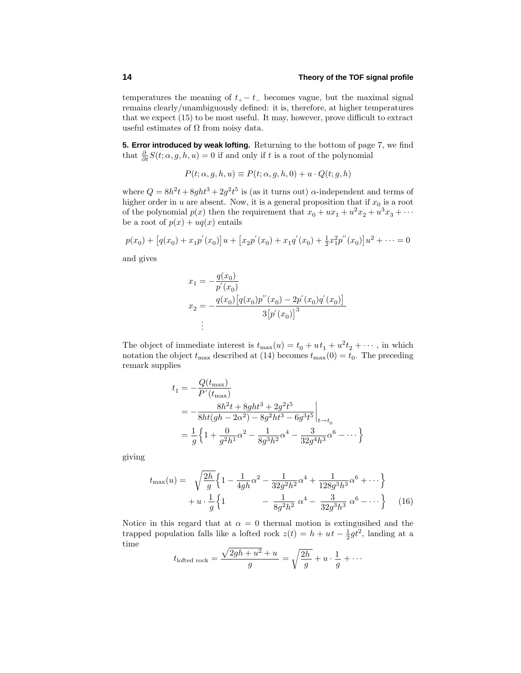temperatures the meaning of  $t_{+} - t_{-}$  becomes vague, but the maximal signal remains clearly/unambiguously defined: it is, therefore, at higher temperatures that we expect (15) to be most useful. It may, however, prove difficult to extract useful estimates of  $\Omega$  from noisy data.

**5. Error introduced by weak lofting.** Returning to the bottom of page 7, we find that  $\frac{\partial}{\partial t}S(t; \alpha, g, h, u) = 0$  if and only if *t* is a root of the polynomial

$$
P(t; \alpha, g, h, u) \equiv P(t; \alpha, g, h, 0) + u \cdot Q(t; g, h)
$$

where  $Q = 8h^2t + 8ght^3 + 2g^2t^5$  is (as it turns out)  $\alpha$ -independent and terms of higher order in *u* are absent. Now, it is a general proposition that if  $x_0$  is a root of the polynomial  $p(x)$  then the requirement that  $x_0 + ux_1 + u^2x_2 + u^3x_3 + \cdots$ be a root of  $p(x) + uq(x)$  entails

 $p(x_0) + [q(x_0) + x_1 p'(x_0)]u + [x_2 p'(x_0) + x_1 q'(x_0) + \frac{1}{2}x_1^2 p''(x_0)]u^2 + \cdots = 0$ 

and gives

$$
x_1 = -\frac{q(x_0)}{p'(x_0)}
$$
  

$$
x_2 = -\frac{q(x_0)[q(x_0)p''(x_0) - 2p'(x_0)q'(x_0)]}{3[p'(x_0)]^3}
$$
  

$$
\vdots
$$

The object of immediate interest is  $t_{\text{max}}(u) = t_0 + ut_1 + u^2 t_2 + \cdots$ , in which notation the object  $t_{\text{max}}$  described at (14) becomes  $t_{\text{max}}(0) = t_0$ . The preceding remark supplies

$$
t_1 = -\frac{Q(t_{\text{max}})}{P'(t_{\text{max}})}
$$
  
=  $-\frac{8h^2t + 8ght^3 + 2g^2t^5}{8ht(gh - 2\alpha^2) - 8g^2ht^3 - 6g^3t^5}\Big|_{t \to t_0}$   
=  $\frac{1}{g} \left\{ 1 + \frac{0}{g^2h^1} \alpha^2 - \frac{1}{8g^3h^2} \alpha^4 - \frac{3}{32g^4h^3} \alpha^6 - \dots \right\}$ 

giving

$$
t_{\max}(u) = \sqrt{\frac{2h}{g}} \left\{ 1 - \frac{1}{4gh} \alpha^2 - \frac{1}{32g^2h^2} \alpha^4 + \frac{1}{128g^3h^3} \alpha^6 + \cdots \right\}
$$

$$
+ u \cdot \frac{1}{g} \left\{ 1 - \frac{1}{8g^2h^2} \alpha^4 - \frac{3}{32g^3h^3} \alpha^6 - \cdots \right\} \tag{16}
$$

Notice in this regard that at  $\alpha = 0$  thermal motion is extingusihed and the trapped population falls like a lofted rock  $z(t) = h + ut - \frac{1}{2}gt^2$ , landing at a time

$$
t_{\text{lofted rock}} = \frac{\sqrt{2gh + u^2} + u}{g} = \sqrt{\frac{2h}{g}} + u \cdot \frac{1}{g} + \cdots
$$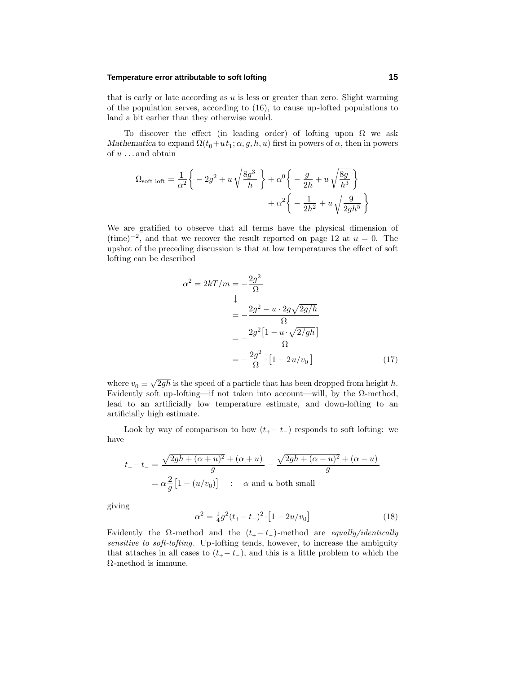# **Temperature error attributable to soft lofting 15**

that is early or late according as *u* is less or greater than zero. Slight warming of the population serves, according to (16), to cause up-lofted populations to land a bit earlier than they otherwise would.

To discover the effect (in leading order) of lofting upon  $\Omega$  we ask *Mathematica* to expand  $\Omega(t_0+ut_1; \alpha, g, h, u)$  first in powers of  $\alpha$ , then in powers of *u ...* and obtain

$$
\Omega_{\text{soft loft}} = \frac{1}{\alpha^2} \left\{ -2g^2 + u \sqrt{\frac{8g^3}{h}} \right\} + \alpha^0 \left\{ -\frac{g}{2h} + u \sqrt{\frac{8g}{h^3}} \right\} + \alpha^2 \left\{ -\frac{1}{2h^2} + u \sqrt{\frac{9}{2gh^5}} \right\}
$$

We are gratified to observe that all terms have the physical dimension of  $(\text{time})^{-2}$ , and that we recover the result reported on page 12 at  $u = 0$ . The upshot of the preceding discussion is that at low temperatures the effect of soft lofting can be described

$$
\alpha^2 = 2kT/m = -\frac{2g^2}{\Omega}
$$
  
\n
$$
\downarrow
$$
  
\n
$$
= -\frac{2g^2 - u \cdot 2g\sqrt{2g/h}}{\Omega}
$$
  
\n
$$
= -\frac{2g^2\left[1 - u \cdot \sqrt{2/gh}\right]}{\Omega}
$$
  
\n
$$
= -\frac{2g^2}{\Omega} \cdot \left[1 - 2u/v_0\right]
$$
(17)

where  $v_0 \equiv \sqrt{2gh}$  is the speed of a particle that has been dropped from height *h*. Evidently soft up-lofting—if not taken into account—will, by the  $\Omega$ -method, lead to an artificially low temperature estimate, and down-lofting to an artificially high estimate.

Look by way of comparison to how  $(t_{+} - t_{-})$  responds to soft lofting: we have

$$
t_{+} - t_{-} = \frac{\sqrt{2gh + (\alpha + u)^{2}} + (\alpha + u)}{g} - \frac{\sqrt{2gh + (\alpha - u)^{2}} + (\alpha - u)}{g}
$$

$$
= \alpha \frac{2}{g} \left[ 1 + (u/v_{0}) \right] \quad \therefore \quad \alpha \text{ and } u \text{ both small}
$$

giving

$$
\alpha^2 = \frac{1}{4}g^2(t_+ - t_-)^2 \cdot [1 - 2u/v_0] \tag{18}
$$

Evidently the  $\Omega$ -method and the  $(t_{+}-t_{-})$ -method are *equally/identically* sensitive to soft-lofting. Up-lofting tends, however, to increase the ambiguity that attaches in all cases to  $(t_{+}-t_{-})$ , and this is a little problem to which the Ω-method is immune.